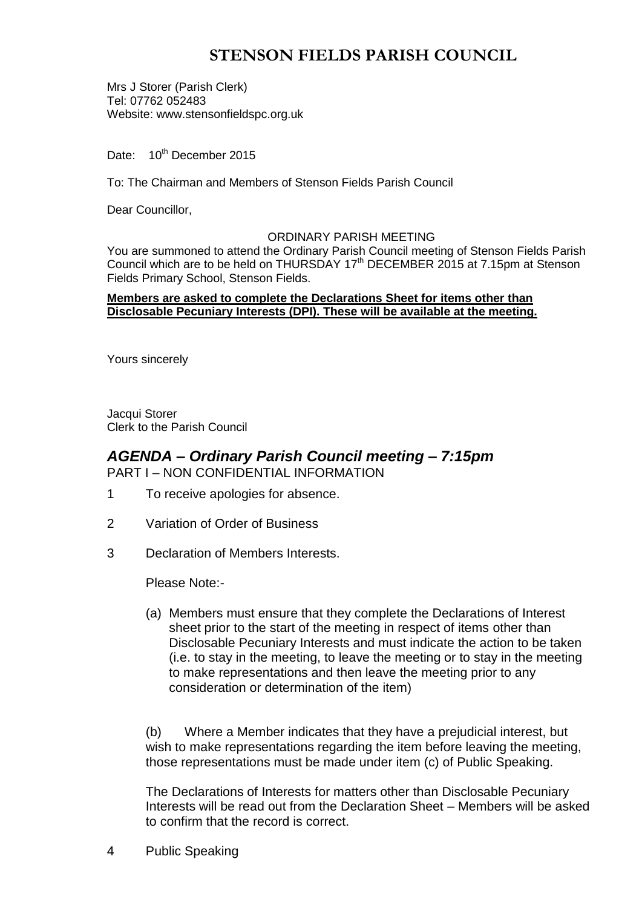# **STENSON FIELDS PARISH COUNCIL**

Mrs J Storer (Parish Clerk) Tel: 07762 052483 Website: www.stensonfieldspc.org.uk

Date: 10<sup>th</sup> December 2015

To: The Chairman and Members of Stenson Fields Parish Council

Dear Councillor,

#### ORDINARY PARISH MEETING

You are summoned to attend the Ordinary Parish Council meeting of Stenson Fields Parish Council which are to be held on THURSDAY 17<sup>th</sup> DECEMBER 2015 at 7.15pm at Stenson Fields Primary School, Stenson Fields.

#### **Members are asked to complete the Declarations Sheet for items other than Disclosable Pecuniary Interests (DPI). These will be available at the meeting.**

Yours sincerely

Jacqui Storer Clerk to the Parish Council

## *AGENDA – Ordinary Parish Council meeting – 7:15pm* PART I – NON CONFIDENTIAL INFORMATION

- 1 To receive apologies for absence.
- 2 Variation of Order of Business
- 3 Declaration of Members Interests.

Please Note:-

(a) Members must ensure that they complete the Declarations of Interest sheet prior to the start of the meeting in respect of items other than Disclosable Pecuniary Interests and must indicate the action to be taken (i.e. to stay in the meeting, to leave the meeting or to stay in the meeting to make representations and then leave the meeting prior to any consideration or determination of the item)

(b) Where a Member indicates that they have a prejudicial interest, but wish to make representations regarding the item before leaving the meeting, those representations must be made under item (c) of Public Speaking.

The Declarations of Interests for matters other than Disclosable Pecuniary Interests will be read out from the Declaration Sheet – Members will be asked to confirm that the record is correct.

4 Public Speaking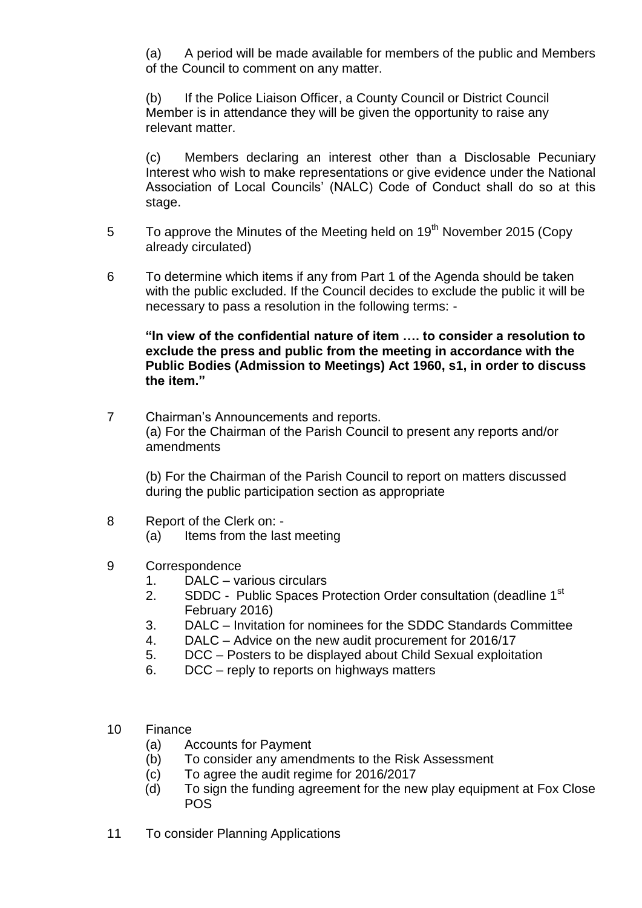(a) A period will be made available for members of the public and Members of the Council to comment on any matter.

(b) If the Police Liaison Officer, a County Council or District Council Member is in attendance they will be given the opportunity to raise any relevant matter.

(c) Members declaring an interest other than a Disclosable Pecuniary Interest who wish to make representations or give evidence under the National Association of Local Councils' (NALC) Code of Conduct shall do so at this stage.

- 5 To approve the Minutes of the Meeting held on 19<sup>th</sup> November 2015 (Copy already circulated)
- 6 To determine which items if any from Part 1 of the Agenda should be taken with the public excluded. If the Council decides to exclude the public it will be necessary to pass a resolution in the following terms: -

**"In view of the confidential nature of item …. to consider a resolution to exclude the press and public from the meeting in accordance with the Public Bodies (Admission to Meetings) Act 1960, s1, in order to discuss the item."** 

7 Chairman's Announcements and reports. (a) For the Chairman of the Parish Council to present any reports and/or amendments

(b) For the Chairman of the Parish Council to report on matters discussed during the public participation section as appropriate

- 8 Report of the Clerk on:
	- (a) Items from the last meeting
- 9 Correspondence
	- 1. DALC various circulars
	- 2. SDDC Public Spaces Protection Order consultation (deadline 1<sup>st</sup>) February 2016)
	- 3. DALC Invitation for nominees for the SDDC Standards Committee
	- 4. DALC Advice on the new audit procurement for 2016/17
	- 5. DCC Posters to be displayed about Child Sexual exploitation
	- 6. DCC reply to reports on highways matters
- 10 Finance
	- (a) Accounts for Payment
	- (b) To consider any amendments to the Risk Assessment
	- (c) To agree the audit regime for 2016/2017
	- (d) To sign the funding agreement for the new play equipment at Fox Close POS
- 11 To consider Planning Applications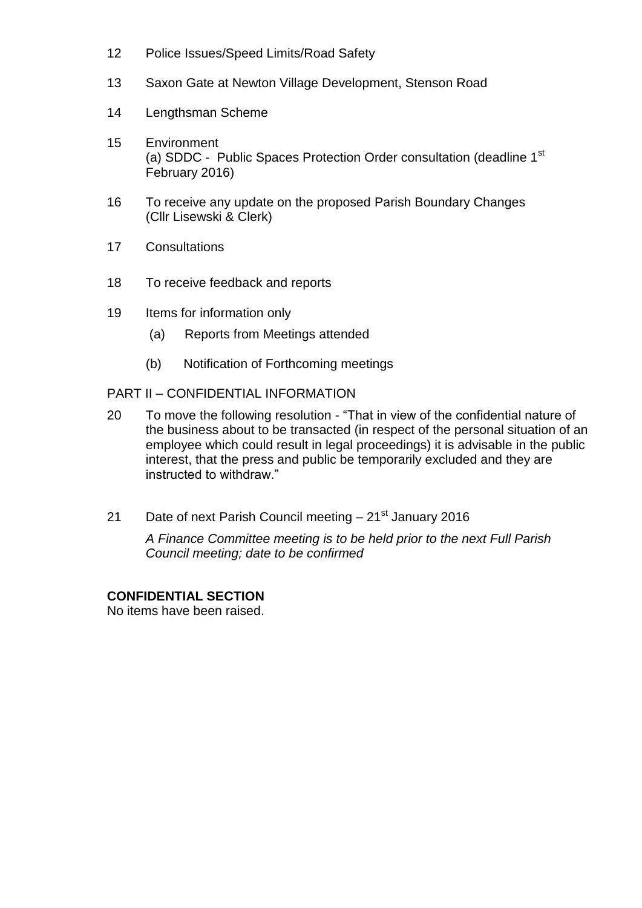- 12 Police Issues/Speed Limits/Road Safety
- 13 Saxon Gate at Newton Village Development, Stenson Road
- 14 Lengthsman Scheme
- 15 Environment (a) SDDC - Public Spaces Protection Order consultation (deadline 1<sup>st</sup> February 2016)
- 16 To receive any update on the proposed Parish Boundary Changes (Cllr Lisewski & Clerk)
- 17 Consultations
- 18 To receive feedback and reports
- 19 Items for information only
	- (a) Reports from Meetings attended
	- (b) Notification of Forthcoming meetings

# PART II – CONFIDENTIAL INFORMATION

- 20 To move the following resolution "That in view of the confidential nature of the business about to be transacted (in respect of the personal situation of an employee which could result in legal proceedings) it is advisable in the public interest, that the press and public be temporarily excluded and they are instructed to withdraw."
- 21 Date of next Parish Council meeting  $-21<sup>st</sup>$  January 2016

*A Finance Committee meeting is to be held prior to the next Full Parish Council meeting; date to be confirmed*

# **CONFIDENTIAL SECTION**

No items have been raised.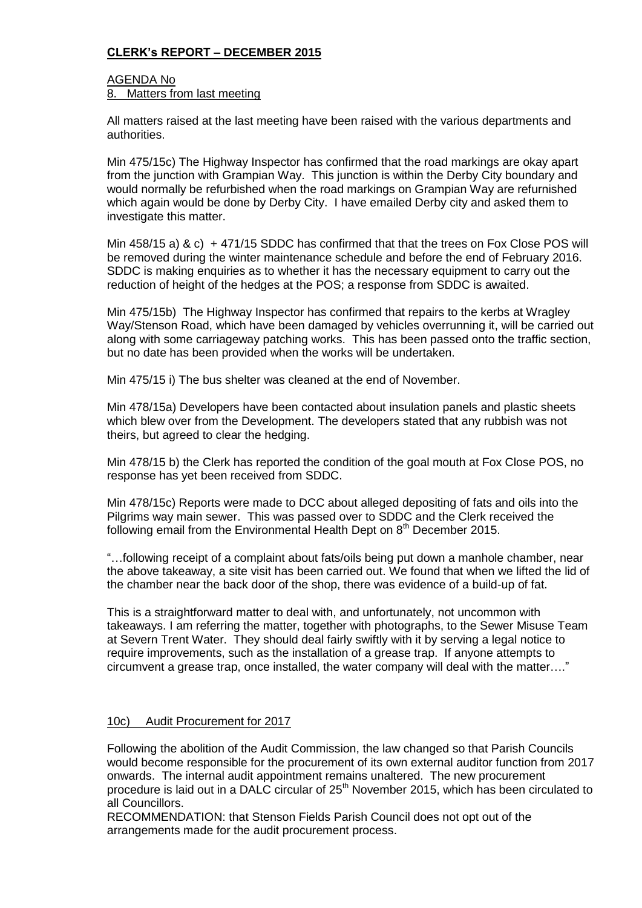# **CLERK's REPORT – DECEMBER 2015**

### AGENDA No 8. Matters from last meeting

All matters raised at the last meeting have been raised with the various departments and authorities.

Min 475/15c) The Highway Inspector has confirmed that the road markings are okay apart from the junction with Grampian Way. This junction is within the Derby City boundary and would normally be refurbished when the road markings on Grampian Way are refurnished which again would be done by Derby City. I have emailed Derby city and asked them to investigate this matter.

Min 458/15 a) & c) + 471/15 SDDC has confirmed that that the trees on Fox Close POS will be removed during the winter maintenance schedule and before the end of February 2016. SDDC is making enquiries as to whether it has the necessary equipment to carry out the reduction of height of the hedges at the POS; a response from SDDC is awaited.

Min 475/15b) The Highway Inspector has confirmed that repairs to the kerbs at Wragley Way/Stenson Road, which have been damaged by vehicles overrunning it, will be carried out along with some carriageway patching works. This has been passed onto the traffic section, but no date has been provided when the works will be undertaken.

Min 475/15 i) The bus shelter was cleaned at the end of November.

Min 478/15a) Developers have been contacted about insulation panels and plastic sheets which blew over from the Development. The developers stated that any rubbish was not theirs, but agreed to clear the hedging.

Min 478/15 b) the Clerk has reported the condition of the goal mouth at Fox Close POS, no response has yet been received from SDDC.

Min 478/15c) Reports were made to DCC about alleged depositing of fats and oils into the Pilgrims way main sewer. This was passed over to SDDC and the Clerk received the following email from the Environmental Health Dept on  $8<sup>th</sup>$  December 2015.

"…following receipt of a complaint about fats/oils being put down a manhole chamber, near the above takeaway, a site visit has been carried out. We found that when we lifted the lid of the chamber near the back door of the shop, there was evidence of a build-up of fat.

This is a straightforward matter to deal with, and unfortunately, not uncommon with takeaways. I am referring the matter, together with photographs, to the Sewer Misuse Team at Severn Trent Water. They should deal fairly swiftly with it by serving a legal notice to require improvements, such as the installation of a grease trap. If anyone attempts to circumvent a grease trap, once installed, the water company will deal with the matter…."

### 10c) Audit Procurement for 2017

Following the abolition of the Audit Commission, the law changed so that Parish Councils would become responsible for the procurement of its own external auditor function from 2017 onwards. The internal audit appointment remains unaltered. The new procurement procedure is laid out in a DALC circular of 25<sup>th</sup> November 2015, which has been circulated to all Councillors.

RECOMMENDATION: that Stenson Fields Parish Council does not opt out of the arrangements made for the audit procurement process.